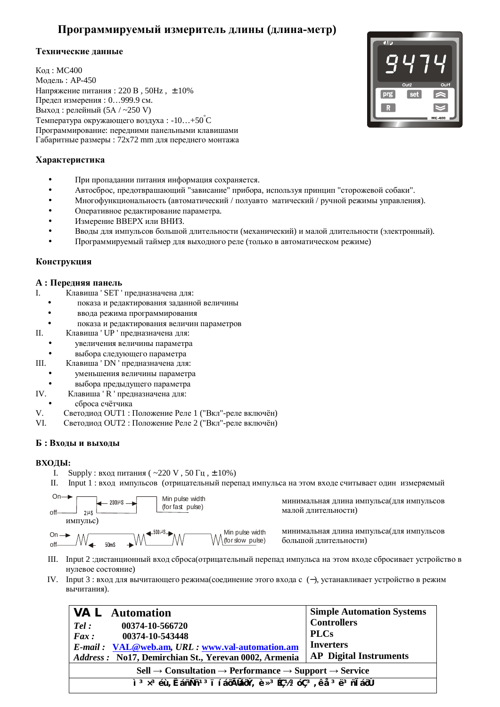# Программируемый измеритель длины (длина-метр)

## Технические данные

Кол: МС400 Модель: АР-450 Напряжение питания: 220 В, 50Hz,  $\pm$  10% Предел измерения: 0...999.9 см. Выход: релейный  $(5A / -250 V)$ Температура окружающего воздуха: -10...+50°С Программирование: передними панельными клавишами Габаритные размеры : 72х72 mm для переднего монтажа

# **Характеристика**

- При пропадании питания информация сохраняется.
- Автосброс, предотврашающий "зависание" прибора, используя принцип "сторожевой собаки".
- Многофункциональность (автоматический / полуавто матический / ручной режимы управления).
- Оперативное редактирование параметра.
- Измерение ВВЕРХ или ВНИЗ.
- Вводы для импульсов большой длительности (механический) и малой длительности (электронный).
- Программируемый таймер для выходного реле (только в автоматическом режиме)

# Конструкция

## $A:$  Передняя панель

- I. Клавиша ' SET ' предназначена для:
	- показа и редактирования заданной величины
	- ввода режима программирования
	- показа и редактирования величин параметров
- II. Клавиша ' UP ' предназначена для:
	- увеличения величины параметра
	- выбора следующего параметра
- III. Клавиша ' DN ' предназначена для:
	- уменьшения величины параметра
	- выбора прелылушего параметра
- IV. Клавиша ' R ' предназначена для:
- сброса счётчика
- V. Светодиод OUT1 : Положение Реле 1 ("Вкл"-реле включён)
- VI. Светодиод OUT2 : Положение Реле 2 ("Вкл"-реле включён)

## $\bf{B}$  : Входы и выходы

## **ВХОДЫ:**

- I. Supply : вход питания ( $\sim$ 220 V, 50  $\Gamma$ ц,  $\pm$  10%)
- II. Input 1 : вход импульсов (отрицательный перепад импульса на этом входе считывает один измеряемый

off Min pulse width (for slow pulse) On ɢɦɩɭɥɶɫ) off Min pulse width (for fast pulse)

минимальная длина импульса(для импульсов малой длительности)

минимальная длина импульса(для импульсов большой длительности)

- III. Input 2 :дистанционный вход сброса(отрицательный перепад импульса на этом входе сбросивает устройство в нулевое состояние)
- IV. Input 3 : вход для вычитающего режима (соединение этого входа с (-), устанавливает устройство в режим вычитания).

| <b>VAL</b> Automation<br>00374-10-566720<br>Tel:<br>00374-10-543448<br>$\boldsymbol{F}$ ax:<br>E-mail: VAL@web.am, URL: www.val-automation.am<br>Address: No17, Demirchian St., Yerevan 0002, Armenia | <b>Simple Automation Systems</b><br><b>Controllers</b><br><b>PLCs</b><br><b>Inverters</b><br><b>AP</b> Digital Instruments |  |
|-------------------------------------------------------------------------------------------------------------------------------------------------------------------------------------------------------|----------------------------------------------------------------------------------------------------------------------------|--|
| $\text{Cell} \rightarrow \text{Consultation} \rightarrow \text{Performance} \rightarrow \text{Support} \rightarrow \text{Service}$                                                                    |                                                                                                                            |  |
| ì <sup>3</sup> x <sup>3</sup> éù, ÊáñÑñ <sup>13</sup> i í áōÃláōÝ, è x <sup>3</sup> Éǽ <sup>3</sup> óÇ <sup>3</sup> , ê å <sup>3</sup> ë <sup>3</sup> ñ l áōÙ                                         |                                                                                                                            |  |

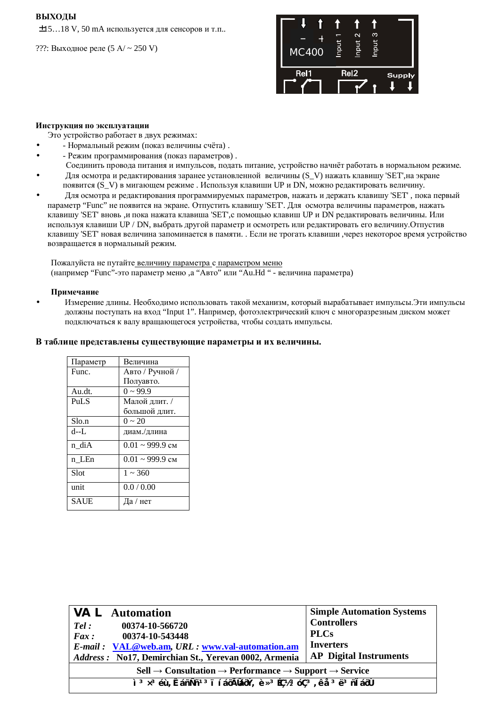#### **ВЫХОЛЫ**

 $±15...18$  V, 50 mA используется для сенсоров и т.п..

???: Выходное реле (5  $A / \sim 250$  V)



#### **Инструкция по эксплуатации**

Это устройство работает в двух режимах:

- Нормальный режим (показ величины счёта).
- - Режим программирования (показ параметров).
- Соединить провода питания и импульсов, подать питание, устройство начнёт работать в нормальном режиме. Для осмотра и редактирования заранее установленной величины (S\_V) нажать клавишу 'SET', на экране появится (S\_V) в мигающем режиме. Используя клавиши UP и DN, можно редактировать величину.
- Для осмотра и редактирования программируемых параметров, нажать и держать клавишу 'SET', пока первый параметр "Func" не появится на экране. Отпустить клавишу 'SET'. Для осмотра величины параметров, нажать клавишу 'SET' вновь ,и пока нажата клавиша 'SET', с помощью клавиш UP и DN редактировать величины. Или используя клавиши UP / DN, выбрать другой параметр и осмотреть или редактировать его величину. Отпустив клавишу 'SET' новая величина запоминается в памяти. . Если не трогать клавиши, через некоторое время устройство возвращается в нормальный режим.

Пожалуйста не путайте величину параметра с параметром меню (например "Func"-это параметр меню, а "Авто" или "Аu.Hd " - величина параметра)

#### Примечание

Измерение длины. Необходимо использовать такой механизм, который вырабатывает импульсы.Эти импульсы должны поступать на вход "Input 1". Например, фотоэлектрический ключ с многоразрезным диском может подключаться к валу вращающегося устройства, чтобы создать импульсы.

#### В таблице представлены существующие параметры и их величины.

| Параметр    | Величина                        |
|-------------|---------------------------------|
| Func.       | Авто / Ручной /                 |
|             | Полуавто.                       |
| Au.dt.      | $0 \sim 99.9$                   |
| <b>PuLS</b> | Малой длит. /                   |
|             | большой длит.                   |
| Slo.n       | $0 \sim 20$                     |
| d--L        | диам./длина                     |
| n diA       | $0.01 \approx 999.9 \text{ cm}$ |
| n LEn       | $0.01 \sim 999.9$ CM            |
| Slot        | $1 \sim 360$                    |
| unit        | 0.0 / 0.00                      |
| <b>SAUE</b> | Да / нет                        |

| <b>VAL</b> Automation<br>00374-10-566720<br>Tel:<br>$\boldsymbol{F}$ ax:<br>00374-10-543448<br><i>E-mail</i> : VAL@web.am, URL: www.val-automation.am<br>Address: No17, Demirchian St., Yerevan 0002, Armenia                                                                                                            | <b>Simple Automation Systems</b><br><b>Controllers</b><br><b>PLCs</b><br><b>Inverters</b><br><b>AP</b> Digital Instruments |  |
|--------------------------------------------------------------------------------------------------------------------------------------------------------------------------------------------------------------------------------------------------------------------------------------------------------------------------|----------------------------------------------------------------------------------------------------------------------------|--|
| $\text{Cell} \rightarrow \text{Consultation} \rightarrow \text{Performance} \rightarrow \text{Support} \rightarrow \text{Service}$                                                                                                                                                                                       |                                                                                                                            |  |
| $\frac{1}{2}$ $\frac{3}{2}$ $\times$ 3 $\acute{e}$ $\acute{e}$ $\acute{e}$ $\frac{1}{2}$ $\frac{3}{1}$ $\frac{1}{2}$ $\frac{3}{1}$ $\frac{5}{1}$ $\frac{3}{1}$ $\frac{3}{1}$ $\frac{3}{1}$ $\frac{3}{1}$ $\frac{3}{1}$ $\frac{3}{1}$ $\frac{3}{1}$ $\frac{3}{1}$ $\frac{3}{1}$ $\frac{3}{1}$ $\frac{3}{1}$ $\frac{3}{1}$ |                                                                                                                            |  |